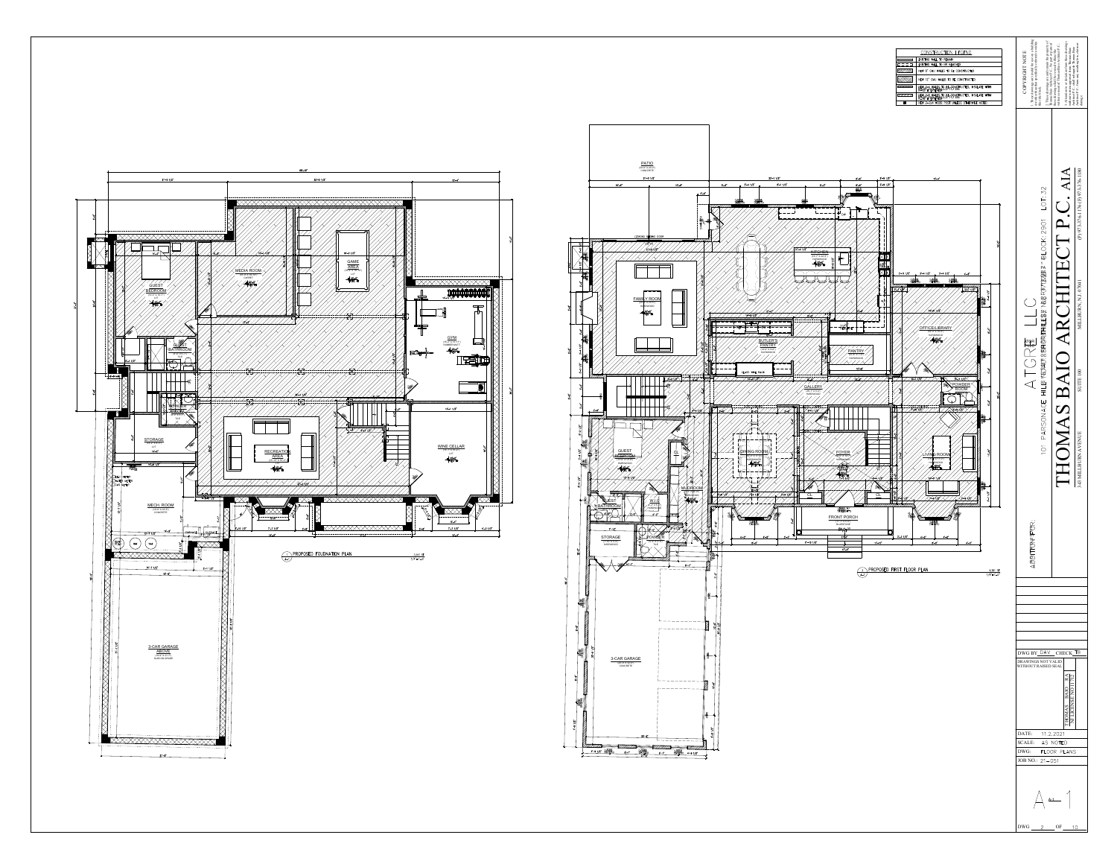

GUEST

GUESTBATHROOM(9'-0" X 5'-0") TILE

STORAGE

30

16

16

3016

16 16

16

 $\overline{\mathbb{R}}$